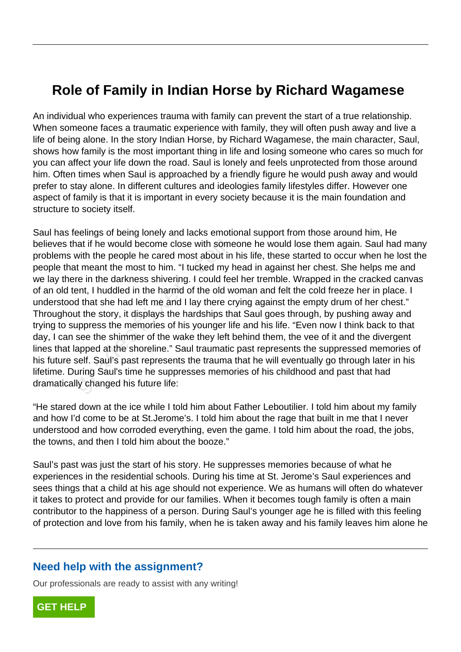## **Role of Family in Indian Horse by Richard Wagamese**

An individual who experiences trauma with family can prevent the start of a true relationship. When someone faces a traumatic experience with family, they will often push away and live a life of being alone. In the story Indian Horse, by Richard Wagamese, the main character, Saul, shows how family is the most important thing in life and losing someone who cares so much for you can affect your life down the road. Saul is lonely and feels unprotected from those around him. Often times when Saul is approached by a friendly figure he would push away and would prefer to stay alone. In different cultures and ideologies family lifestyles differ. However one aspect of family is that it is important in every society because it is the main foundation and structure to society itself.

Saul has feelings of being lonely and lacks emotional support from those around him, He believes that if he would become close with someone he would lose them again. Saul had many problems with the people he cared most about in his life, these started to occur when he lost the people that meant the most to him. "I tucked my head in against her chest. She helps me and we lay there in the darkness shivering. I could feel her tremble. Wrapped in the cracked canvas of an old tent, I huddled in the harmd of the old woman and felt the cold freeze her in place. I understood that she had left me and I lay there crying against the empty drum of her chest." Throughout the story, it displays the hardships that Saul goes through, by pushing away and trying to suppress the memories of his younger life and his life. "Even now I think back to that day, I can see the shimmer of the wake they left behind them, the vee of it and the divergent lines that lapped at the shoreline." Saul traumatic past represents the suppressed memories of his future self. Saul's past represents the trauma that he will eventually go through later in his lifetime. During Saul's time he suppresses memories of his childhood and past that had dramatically changed his future life: nat if he would become close with some<br>with the people he cared most about in<br>t meant the most to him. "I tucked my l<br>re in the darkness shivering. I could fee<br>ent, I huddled in the harmd of the old w<br>d that she had left m

"He stared down at the ice while I told him about Father Leboutilier. I told him about my family and how I'd come to be at St.Jerome's. I told him about the rage that built in me that I never understood and how corroded everything, even the game. I told him about the road, the jobs, the towns, and then I told him about the booze."

Saul's past was just the start of his story. He suppresses memories because of what he experiences in the residential schools. During his time at St. Jerome's Saul experiences and sees things that a child at his age should not experience. We as humans will often do whatever it takes to protect and provide for our families. When it becomes tough family is often a main contributor to the happiness of a person. During Saul's younger age he is filled with this feeling of protection and love from his family, when he is taken away and his family leaves him alone he

## **Need help with the assignment?**

Our professionals are ready to assist with any writing!